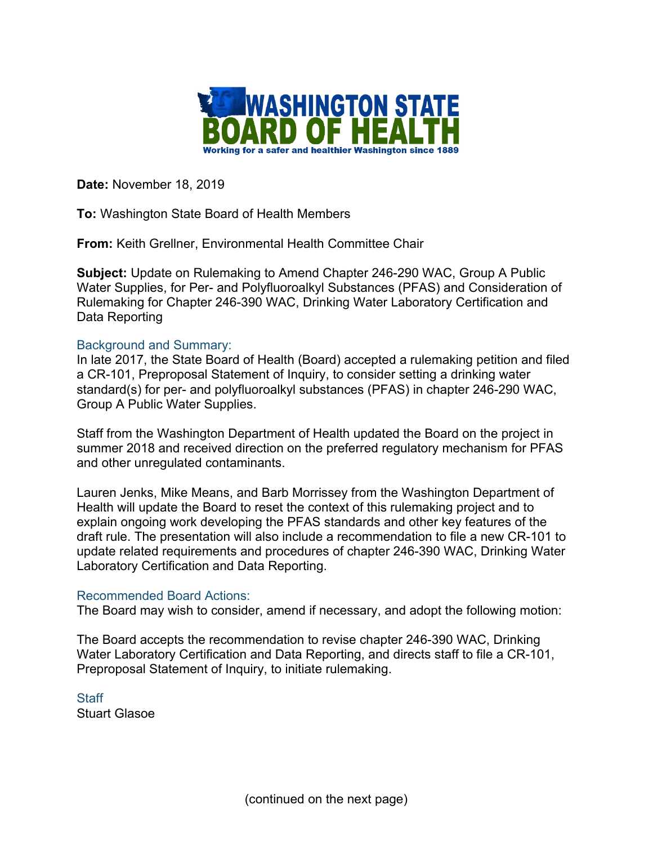

**Date:** November 18, 2019

**To:** Washington State Board of Health Members

**From:** Keith Grellner, Environmental Health Committee Chair

**Subject:** Update on Rulemaking to Amend Chapter 246-290 WAC, Group A Public Water Supplies, for Per- and Polyfluoroalkyl Substances (PFAS) and Consideration of Rulemaking for Chapter 246-390 WAC, Drinking Water Laboratory Certification and Data Reporting

## Background and Summary:

In late 2017, the State Board of Health (Board) accepted a rulemaking petition and filed a CR-101, Preproposal Statement of Inquiry, to consider setting a drinking water standard(s) for per- and polyfluoroalkyl substances (PFAS) in chapter 246-290 WAC, Group A Public Water Supplies.

Staff from the Washington Department of Health updated the Board on the project in summer 2018 and received direction on the preferred regulatory mechanism for PFAS and other unregulated contaminants.

Lauren Jenks, Mike Means, and Barb Morrissey from the Washington Department of Health will update the Board to reset the context of this rulemaking project and to explain ongoing work developing the PFAS standards and other key features of the draft rule. The presentation will also include a recommendation to file a new CR-101 to update related requirements and procedures of chapter 246-390 WAC, Drinking Water Laboratory Certification and Data Reporting.

## Recommended Board Actions:

The Board may wish to consider, amend if necessary, and adopt the following motion:

The Board accepts the recommendation to revise chapter 246-390 WAC, Drinking Water Laboratory Certification and Data Reporting, and directs staff to file a CR-101, Preproposal Statement of Inquiry, to initiate rulemaking.

**Staff** Stuart Glasoe